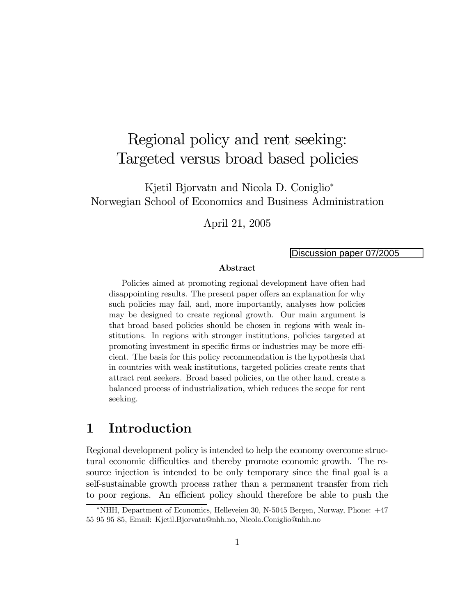# Regional policy and rent seeking: Targeted versus broad based policies

Kjetil Bjorvatn and Nicola D. Coniglio<sup>\*</sup> Norwegian School of Economics and Business Administration

April 21, 2005

#### Discussion paper 07/2005

#### Abstract

Policies aimed at promoting regional development have often had disappointing results. The present paper offers an explanation for why such policies may fail, and, more importantly, analyses how policies may be designed to create regional growth. Our main argument is that broad based policies should be chosen in regions with weak institutions. In regions with stronger institutions, policies targeted at promoting investment in specific firms or industries may be more efficient. The basis for this policy recommendation is the hypothesis that in countries with weak institutions, targeted policies create rents that attract rent seekers. Broad based policies, on the other hand, create a balanced process of industrialization, which reduces the scope for rent seeking.

# 1 Introduction

Regional development policy is intended to help the economy overcome structural economic difficulties and thereby promote economic growth. The resource injection is intended to be only temporary since the final goal is a self-sustainable growth process rather than a permanent transfer from rich to poor regions. An efficient policy should therefore be able to push the

<sup>∗</sup>NHH, Department of Economics, Helleveien 30, N-5045 Bergen, Norway, Phone: +47 55 95 95 85, Email: Kjetil.Bjorvatn@nhh.no, Nicola.Coniglio@nhh.no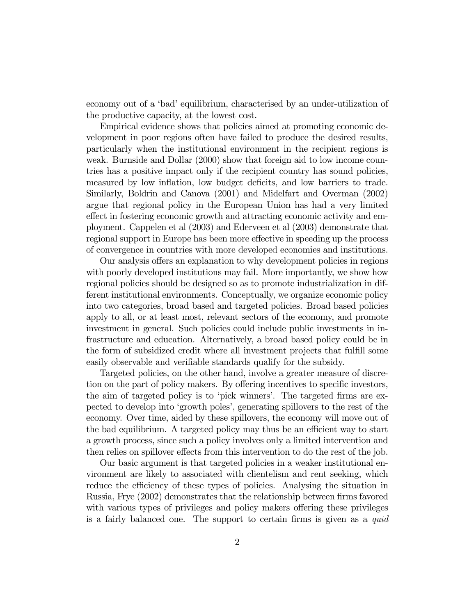economy out of a 'bad' equilibrium, characterised by an under-utilization of the productive capacity, at the lowest cost.

Empirical evidence shows that policies aimed at promoting economic development in poor regions often have failed to produce the desired results, particularly when the institutional environment in the recipient regions is weak. Burnside and Dollar (2000) show that foreign aid to low income countries has a positive impact only if the recipient country has sound policies, measured by low inflation, low budget deficits, and low barriers to trade. Similarly, Boldrin and Canova (2001) and Midelfart and Overman (2002) argue that regional policy in the European Union has had a very limited effect in fostering economic growth and attracting economic activity and employment. Cappelen et al (2003) and Ederveen et al (2003) demonstrate that regional support in Europe has been more effective in speeding up the process of convergence in countries with more developed economies and institutions.

Our analysis offers an explanation to why development policies in regions with poorly developed institutions may fail. More importantly, we show how regional policies should be designed so as to promote industrialization in different institutional environments. Conceptually, we organize economic policy into two categories, broad based and targeted policies. Broad based policies apply to all, or at least most, relevant sectors of the economy, and promote investment in general. Such policies could include public investments in infrastructure and education. Alternatively, a broad based policy could be in the form of subsidized credit where all investment projects that fulfill some easily observable and verifiable standards qualify for the subsidy.

Targeted policies, on the other hand, involve a greater measure of discretion on the part of policy makers. By offering incentives to specific investors, the aim of targeted policy is to 'pick winners'. The targeted firms are expected to develop into 'growth poles', generating spillovers to the rest of the economy. Over time, aided by these spillovers, the economy will move out of the bad equilibrium. A targeted policy may thus be an efficient way to start a growth process, since such a policy involves only a limited intervention and then relies on spillover effects from this intervention to do the rest of the job.

Our basic argument is that targeted policies in a weaker institutional environment are likely to associated with clientelism and rent seeking, which reduce the efficiency of these types of policies. Analysing the situation in Russia, Frye (2002) demonstrates that the relationship between firms favored with various types of privileges and policy makers offering these privileges is a fairly balanced one. The support to certain firms is given as a quid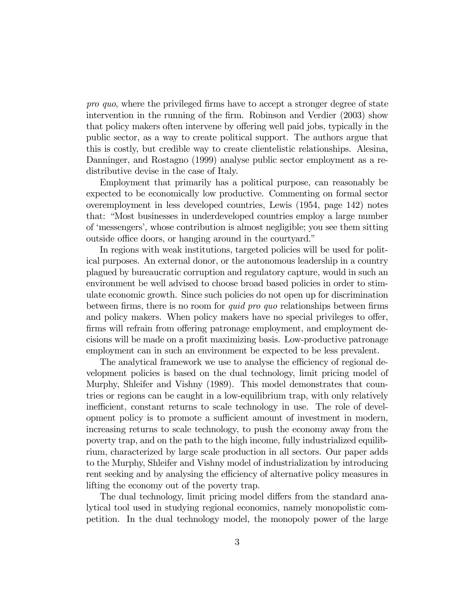pro quo, where the privileged firms have to accept a stronger degree of state intervention in the running of the firm. Robinson and Verdier (2003) show that policy makers often intervene by offering well paid jobs, typically in the public sector, as a way to create political support. The authors argue that this is costly, but credible way to create clientelistic relationships. Alesina, Danninger, and Rostagno (1999) analyse public sector employment as a redistributive devise in the case of Italy.

Employment that primarily has a political purpose, can reasonably be expected to be economically low productive. Commenting on formal sector overemployment in less developed countries, Lewis (1954, page 142) notes that: "Most businesses in underdeveloped countries employ a large number of 'messengers', whose contribution is almost negligible; you see them sitting outside office doors, or hanging around in the courtyard."

In regions with weak institutions, targeted policies will be used for political purposes. An external donor, or the autonomous leadership in a country plagued by bureaucratic corruption and regulatory capture, would in such an environment be well advised to choose broad based policies in order to stimulate economic growth. Since such policies do not open up for discrimination between firms, there is no room for quid pro quo relationships between firms and policy makers. When policy makers have no special privileges to offer, firms will refrain from offering patronage employment, and employment decisions will be made on a profit maximizing basis. Low-productive patronage employment can in such an environment be expected to be less prevalent.

The analytical framework we use to analyse the efficiency of regional development policies is based on the dual technology, limit pricing model of Murphy, Shleifer and Vishny (1989). This model demonstrates that countries or regions can be caught in a low-equilibrium trap, with only relatively inefficient, constant returns to scale technology in use. The role of development policy is to promote a sufficient amount of investment in modern, increasing returns to scale technology, to push the economy away from the poverty trap, and on the path to the high income, fully industrialized equilibrium, characterized by large scale production in all sectors. Our paper adds to the Murphy, Shleifer and Vishny model of industrialization by introducing rent seeking and by analysing the efficiency of alternative policy measures in lifting the economy out of the poverty trap.

The dual technology, limit pricing model differs from the standard analytical tool used in studying regional economics, namely monopolistic competition. In the dual technology model, the monopoly power of the large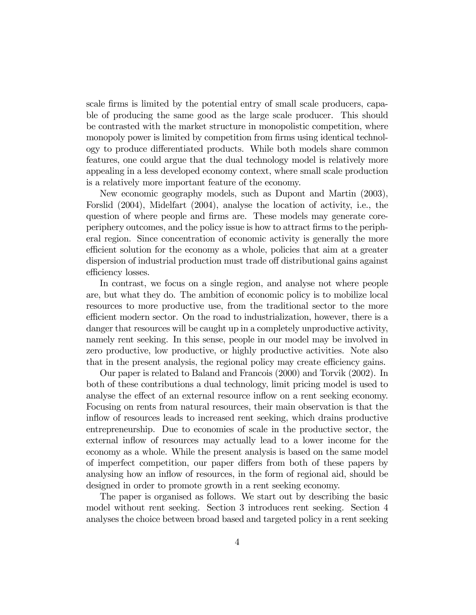scale firms is limited by the potential entry of small scale producers, capable of producing the same good as the large scale producer. This should be contrasted with the market structure in monopolistic competition, where monopoly power is limited by competition from firms using identical technology to produce differentiated products. While both models share common features, one could argue that the dual technology model is relatively more appealing in a less developed economy context, where small scale production is a relatively more important feature of the economy.

New economic geography models, such as Dupont and Martin (2003), Forslid (2004), Midelfart (2004), analyse the location of activity, i.e., the question of where people and firms are. These models may generate coreperiphery outcomes, and the policy issue is how to attract firms to the peripheral region. Since concentration of economic activity is generally the more efficient solution for the economy as a whole, policies that aim at a greater dispersion of industrial production must trade off distributional gains against efficiency losses.

In contrast, we focus on a single region, and analyse not where people are, but what they do. The ambition of economic policy is to mobilize local resources to more productive use, from the traditional sector to the more efficient modern sector. On the road to industrialization, however, there is a danger that resources will be caught up in a completely unproductive activity, namely rent seeking. In this sense, people in our model may be involved in zero productive, low productive, or highly productive activities. Note also that in the present analysis, the regional policy may create efficiency gains.

Our paper is related to Baland and Francois (2000) and Torvik (2002). In both of these contributions a dual technology, limit pricing model is used to analyse the effect of an external resource inflow on a rent seeking economy. Focusing on rents from natural resources, their main observation is that the inflow of resources leads to increased rent seeking, which drains productive entrepreneurship. Due to economies of scale in the productive sector, the external inflow of resources may actually lead to a lower income for the economy as a whole. While the present analysis is based on the same model of imperfect competition, our paper differs from both of these papers by analysing how an inflow of resources, in the form of regional aid, should be designed in order to promote growth in a rent seeking economy.

The paper is organised as follows. We start out by describing the basic model without rent seeking. Section 3 introduces rent seeking. Section 4 analyses the choice between broad based and targeted policy in a rent seeking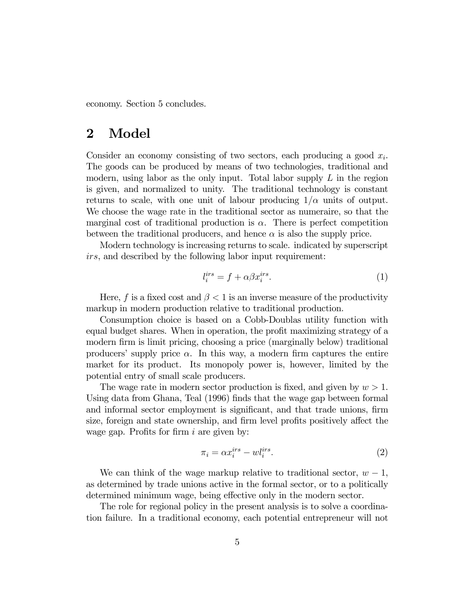economy. Section 5 concludes.

### 2 Model

Consider an economy consisting of two sectors, each producing a good  $x_i$ . The goods can be produced by means of two technologies, traditional and modern, using labor as the only input. Total labor supply  $L$  in the region is given, and normalized to unity. The traditional technology is constant returns to scale, with one unit of labour producing  $1/\alpha$  units of output. We choose the wage rate in the traditional sector as numeraire, so that the marginal cost of traditional production is  $\alpha$ . There is perfect competition between the traditional producers, and hence  $\alpha$  is also the supply price.

Modern technology is increasing returns to scale. indicated by superscript irs, and described by the following labor input requirement:

$$
l_i^{irs} = f + \alpha \beta x_i^{irs}.\tag{1}
$$

Here, f is a fixed cost and  $\beta$  < 1 is an inverse measure of the productivity markup in modern production relative to traditional production.

Consumption choice is based on a Cobb-Doublas utility function with equal budget shares. When in operation, the profit maximizing strategy of a modern firm is limit pricing, choosing a price (marginally below) traditional producers' supply price  $\alpha$ . In this way, a modern firm captures the entire market for its product. Its monopoly power is, however, limited by the potential entry of small scale producers.

The wage rate in modern sector production is fixed, and given by  $w > 1$ . Using data from Ghana, Teal (1996) finds that the wage gap between formal and informal sector employment is significant, and that trade unions, firm size, foreign and state ownership, and firm level profits positively affect the wage gap. Profits for firm  $i$  are given by:

$$
\pi_i = \alpha x_i^{irs} - w l_i^{irs}.\tag{2}
$$

We can think of the wage markup relative to traditional sector,  $w - 1$ , as determined by trade unions active in the formal sector, or to a politically determined minimum wage, being effective only in the modern sector.

The role for regional policy in the present analysis is to solve a coordination failure. In a traditional economy, each potential entrepreneur will not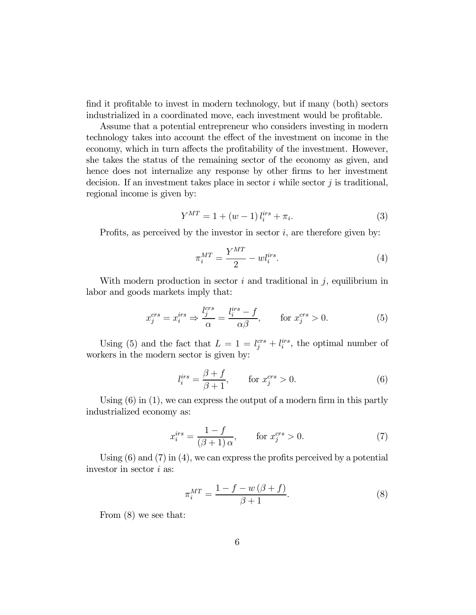find it profitable to invest in modern technology, but if many (both) sectors industrialized in a coordinated move, each investment would be profitable.

Assume that a potential entrepreneur who considers investing in modern technology takes into account the effect of the investment on income in the economy, which in turn affects the profitability of the investment. However, she takes the status of the remaining sector of the economy as given, and hence does not internalize any response by other firms to her investment decision. If an investment takes place in sector  $i$  while sector  $j$  is traditional, regional income is given by:

$$
Y^{MT} = 1 + (w - 1) l_i^{irs} + \pi_i.
$$
 (3)

Profits, as perceived by the investor in sector  $i$ , are therefore given by:

$$
\pi_i^{MT} = \frac{Y^{MT}}{2} - w l_i^{irs}.\tag{4}
$$

With modern production in sector  $i$  and traditional in  $j$ , equilibrium in labor and goods markets imply that:

$$
x_j^{crs} = x_i^{irs} \Rightarrow \frac{l_j^{crs}}{\alpha} = \frac{l_i^{irs} - f}{\alpha \beta}, \qquad \text{for } x_j^{crs} > 0. \tag{5}
$$

Using (5) and the fact that  $L = 1 = l_j^{crs} + l_i^{irs}$ , the optimal number of workers in the modern sector is given by:

$$
l_i^{irs} = \frac{\beta + f}{\beta + 1}, \qquad \text{for } x_j^{crs} > 0.
$$
 (6)

Using  $(6)$  in  $(1)$ , we can express the output of a modern firm in this partly industrialized economy as:

$$
x_i^{irs} = \frac{1 - f}{(\beta + 1)\alpha}, \qquad \text{for } x_j^{crs} > 0.
$$
 (7)

Using  $(6)$  and  $(7)$  in  $(4)$ , we can express the profits perceived by a potential investor in sector i as:

$$
\pi_i^{MT} = \frac{1 - f - w(\beta + f)}{\beta + 1}.
$$
\n(8)

From (8) we see that: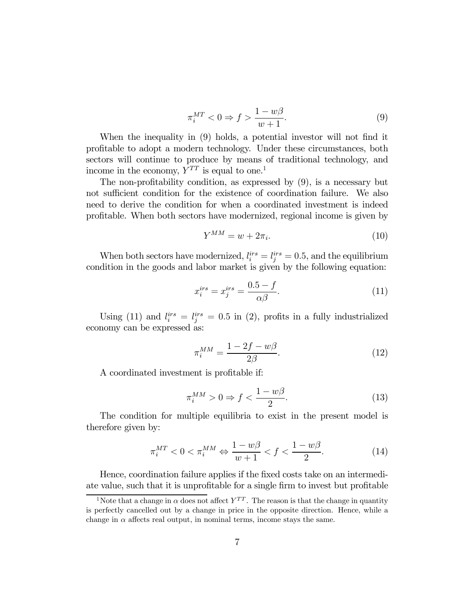$$
\pi_i^{MT} < 0 \Rightarrow f > \frac{1 - w\beta}{w + 1}.\tag{9}
$$

When the inequality in (9) holds, a potential investor will not find it profitable to adopt a modern technology. Under these circumstances, both sectors will continue to produce by means of traditional technology, and income in the economy,  $Y^{TT}$  is equal to one.<sup>1</sup>

The non-profitability condition, as expressed by (9), is a necessary but not sufficient condition for the existence of coordination failure. We also need to derive the condition for when a coordinated investment is indeed profitable. When both sectors have modernized, regional income is given by

$$
Y^{MM} = w + 2\pi_i. \tag{10}
$$

When both sectors have modernized,  $l_i^{irs} = l_j^{irs} = 0.5$ , and the equilibrium condition in the goods and labor market is given by the following equation:

$$
x_i^{irs} = x_j^{irs} = \frac{0.5 - f}{\alpha \beta}.
$$
\n(11)

Using (11) and  $l_i^{irs} = l_j^{irs} = 0.5$  in (2), profits in a fully industrialized economy can be expressed as:

$$
\pi_i^{MM} = \frac{1 - 2f - w\beta}{2\beta}.
$$
\n(12)

A coordinated investment is profitable if:

$$
\pi_i^{MM} > 0 \Rightarrow f < \frac{1 - w\beta}{2}.
$$
\n(13)

The condition for multiple equilibria to exist in the present model is therefore given by:

$$
\pi_i^{MT} < 0 < \pi_i^{MM} \Leftrightarrow \frac{1 - w\beta}{w + 1} < f < \frac{1 - w\beta}{2}.\tag{14}
$$

Hence, coordination failure applies if the fixed costs take on an intermediate value, such that it is unprofitable for a single firm to invest but profitable

<sup>&</sup>lt;sup>1</sup>Note that a change in  $\alpha$  does not affect  $Y^{TT}$ . The reason is that the change in quantity is perfectly cancelled out by a change in price in the opposite direction. Hence, while a change in  $\alpha$  affects real output, in nominal terms, income stays the same.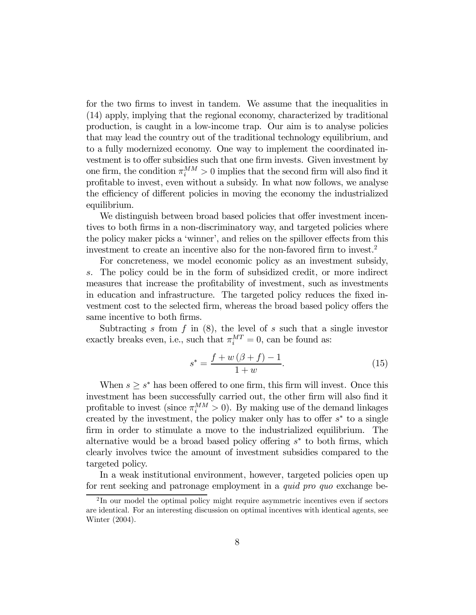for the two firms to invest in tandem. We assume that the inequalities in (14) apply, implying that the regional economy, characterized by traditional production, is caught in a low-income trap. Our aim is to analyse policies that may lead the country out of the traditional technology equilibrium, and to a fully modernized economy. One way to implement the coordinated investment is to offer subsidies such that one firm invests. Given investment by one firm, the condition  $\pi_i^{MM} > 0$  implies that the second firm will also find it profitable to invest, even without a subsidy. In what now follows, we analyse the efficiency of different policies in moving the economy the industrialized equilibrium.

We distinguish between broad based policies that offer investment incentives to both firms in a non-discriminatory way, and targeted policies where the policy maker picks a 'winner', and relies on the spillover effects from this investment to create an incentive also for the non-favored firm to invest.2

For concreteness, we model economic policy as an investment subsidy, s. The policy could be in the form of subsidized credit, or more indirect measures that increase the profitability of investment, such as investments in education and infrastructure. The targeted policy reduces the fixed investment cost to the selected firm, whereas the broad based policy offers the same incentive to both firms.

Subtracting s from  $f$  in  $(8)$ , the level of s such that a single investor exactly breaks even, i.e., such that  $\pi_i^{MT} = 0$ , can be found as:

$$
s^* = \frac{f + w(\beta + f) - 1}{1 + w}.
$$
 (15)

When  $s \geq s^*$  has been offered to one firm, this firm will invest. Once this investment has been successfully carried out, the other firm will also find it profitable to invest (since  $\pi_i^{MM} > 0$ ). By making use of the demand linkages created by the investment, the policy maker only has to offer  $s^*$  to a single firm in order to stimulate a move to the industrialized equilibrium. The alternative would be a broad based policy offering  $s<sup>*</sup>$  to both firms, which clearly involves twice the amount of investment subsidies compared to the targeted policy.

In a weak institutional environment, however, targeted policies open up for rent seeking and patronage employment in a quid pro quo exchange be-

<sup>&</sup>lt;sup>2</sup>In our model the optimal policy might require asymmetric incentives even if sectors are identical. For an interesting discussion on optimal incentives with identical agents, see Winter (2004).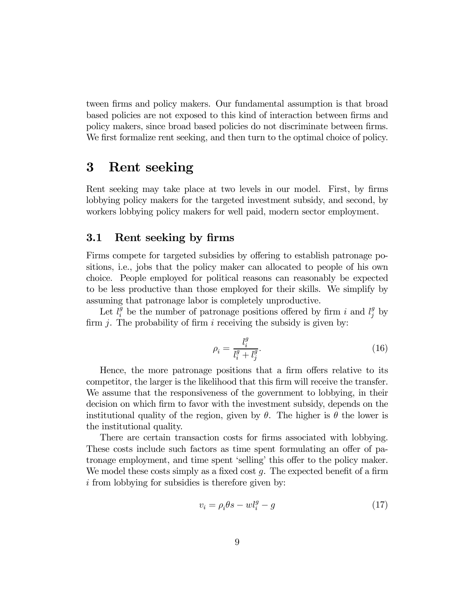tween firms and policy makers. Our fundamental assumption is that broad based policies are not exposed to this kind of interaction between firms and policy makers, since broad based policies do not discriminate between firms. We first formalize rent seeking, and then turn to the optimal choice of policy.

### 3 Rent seeking

Rent seeking may take place at two levels in our model. First, by firms lobbying policy makers for the targeted investment subsidy, and second, by workers lobbying policy makers for well paid, modern sector employment.

#### 3.1 Rent seeking by firms

Firms compete for targeted subsidies by offering to establish patronage positions, i.e., jobs that the policy maker can allocated to people of his own choice. People employed for political reasons can reasonably be expected to be less productive than those employed for their skills. We simplify by assuming that patronage labor is completely unproductive.

Let  $l_i^g$  be the number of patronage positions offered by firm i and  $l_j^g$  by firm  $j$ . The probability of firm  $i$  receiving the subsidy is given by:

$$
\rho_i = \frac{l_i^g}{l_i^g + l_j^g}.\tag{16}
$$

Hence, the more patronage positions that a firm offers relative to its competitor, the larger is the likelihood that this firm will receive the transfer. We assume that the responsiveness of the government to lobbying, in their decision on which firm to favor with the investment subsidy, depends on the institutional quality of the region, given by  $\theta$ . The higher is  $\theta$  the lower is the institutional quality.

There are certain transaction costs for firms associated with lobbying. These costs include such factors as time spent formulating an offer of patronage employment, and time spent 'selling' this offer to the policy maker. We model these costs simply as a fixed cost  $q$ . The expected benefit of a firm  $i$  from lobbying for subsidies is therefore given by:

$$
v_i = \rho_i \theta s - w l_i^g - g \tag{17}
$$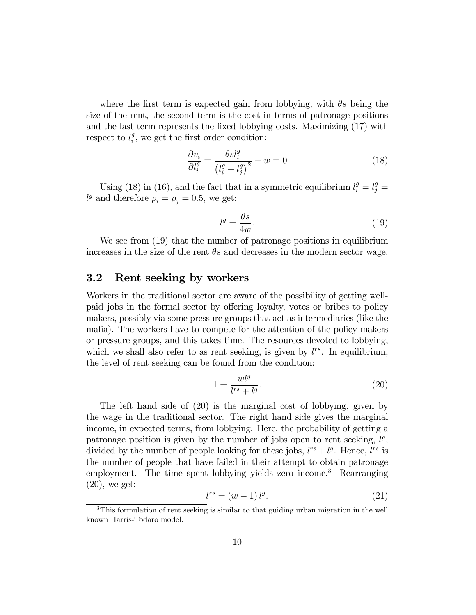where the first term is expected gain from lobbying, with  $\theta s$  being the size of the rent, the second term is the cost in terms of patronage positions and the last term represents the fixed lobbying costs. Maximizing (17) with respect to  $l_i^g$ , we get the first order condition:

$$
\frac{\partial v_i}{\partial l_i^g} = \frac{\theta s l_i^g}{\left(l_i^g + l_j^g\right)^2} - w = 0\tag{18}
$$

Using (18) in (16), and the fact that in a symmetric equilibrium  $l_i^g = l_j^g =$  $l^g$  and therefore  $\rho_i = \rho_j = 0.5$ , we get:

$$
l^g = \frac{\theta s}{4w}.\tag{19}
$$

We see from  $(19)$  that the number of patronage positions in equilibrium increases in the size of the rent  $\theta s$  and decreases in the modern sector wage.

#### 3.2 Rent seeking by workers

Workers in the traditional sector are aware of the possibility of getting wellpaid jobs in the formal sector by offering loyalty, votes or bribes to policy makers, possibly via some pressure groups that act as intermediaries (like the mafia). The workers have to compete for the attention of the policy makers or pressure groups, and this takes time. The resources devoted to lobbying, which we shall also refer to as rent seeking, is given by  $l^{rs}$ . In equilibrium, the level of rent seeking can be found from the condition:

$$
1 = \frac{wl^g}{l^{rs} + l^g}.\tag{20}
$$

The left hand side of (20) is the marginal cost of lobbying, given by the wage in the traditional sector. The right hand side gives the marginal income, in expected terms, from lobbying. Here, the probability of getting a patronage position is given by the number of jobs open to rent seeking,  $l<sup>g</sup>$ , divided by the number of people looking for these jobs,  $l^{rs} + l^g$ . Hence,  $l^{rs}$  is the number of people that have failed in their attempt to obtain patronage employment. The time spent lobbying yields zero income.<sup>3</sup> Rearranging  $(20)$ , we get:

$$
l^{rs} = (w - 1) l^g. \tag{21}
$$

<sup>3</sup>This formulation of rent seeking is similar to that guiding urban migration in the well known Harris-Todaro model.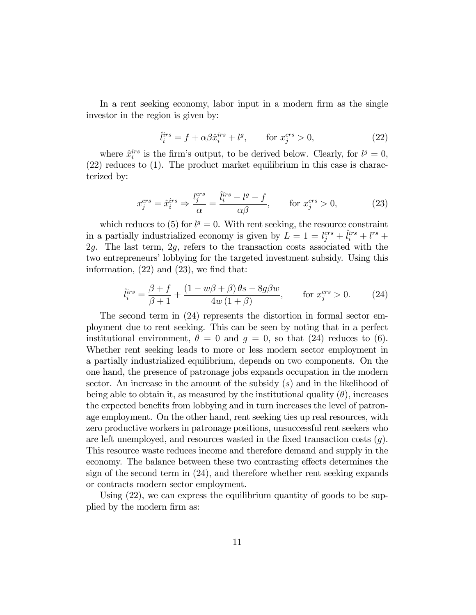In a rent seeking economy, labor input in a modern firm as the single investor in the region is given by:

$$
\hat{l}_i^{irs} = f + \alpha \beta \hat{x}_i^{irs} + l^g, \qquad \text{for } x_j^{crs} > 0,
$$
\n(22)

where  $\hat{x}_i^{irs}$  is the firm's output, to be derived below. Clearly, for  $l^g = 0$ , (22) reduces to (1). The product market equilibrium in this case is characterized by:

$$
x_j^{crs} = \hat{x}_i^{irs} \Rightarrow \frac{l_j^{crs}}{\alpha} = \frac{\hat{l}_i^{irs} - l^g - f}{\alpha \beta}, \qquad \text{for } x_j^{crs} > 0,
$$
 (23)

which reduces to (5) for  $l^g = 0$ . With rent seeking, the resource constraint in a partially industrialized economy is given by  $L = 1 = l_j^{crs} + \hat{l}_i^{irs} + l^{rs} +$ 2g. The last term, 2g, refers to the transaction costs associated with the two entrepreneurs' lobbying for the targeted investment subsidy. Using this information, (22) and (23), we find that:

$$
\hat{l}_i^{irs} = \frac{\beta + f}{\beta + 1} + \frac{(1 - w\beta + \beta)\theta s - 8g\beta w}{4w(1 + \beta)}, \quad \text{for } x_j^{crs} > 0. \tag{24}
$$

The second term in (24) represents the distortion in formal sector employment due to rent seeking. This can be seen by noting that in a perfect institutional environment,  $\theta = 0$  and  $g = 0$ , so that (24) reduces to (6). Whether rent seeking leads to more or less modern sector employment in a partially industrialized equilibrium, depends on two components. On the one hand, the presence of patronage jobs expands occupation in the modern sector. An increase in the amount of the subsidy  $(s)$  and in the likelihood of being able to obtain it, as measured by the institutional quality  $(\theta)$ , increases the expected benefits from lobbying and in turn increases the level of patronage employment. On the other hand, rent seeking ties up real resources, with zero productive workers in patronage positions, unsuccessful rent seekers who are left unemployed, and resources wasted in the fixed transaction costs  $(g)$ . This resource waste reduces income and therefore demand and supply in the economy. The balance between these two contrasting effects determines the sign of the second term in (24), and therefore whether rent seeking expands or contracts modern sector employment.

Using (22), we can express the equilibrium quantity of goods to be supplied by the modern firm as: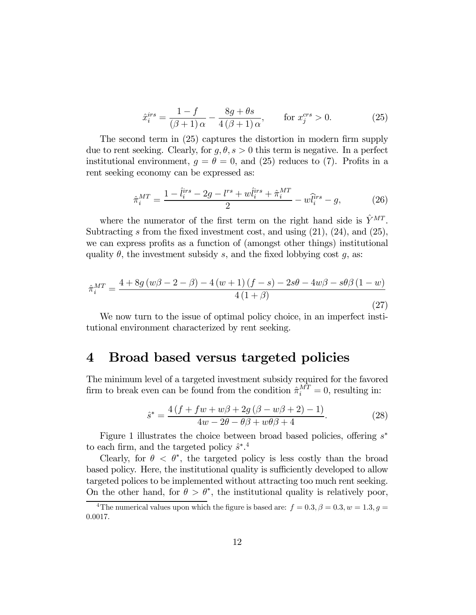$$
\hat{x}_i^{irs} = \frac{1-f}{(\beta+1)\,\alpha} - \frac{8g+\theta s}{4\,(\beta+1)\,\alpha}, \qquad \text{for } x_j^{crs} > 0. \tag{25}
$$

The second term in (25) captures the distortion in modern firm supply due to rent seeking. Clearly, for  $g, \theta, s > 0$  this term is negative. In a perfect institutional environment,  $g = \theta = 0$ , and (25) reduces to (7). Profits in a rent seeking economy can be expressed as:

$$
\hat{\pi}_i^{MT} = \frac{1 - \hat{l}_i^{irs} - 2g - l^{rs} + w\hat{l}_i^{irs} + \hat{\pi}_i^{MT}}{2} - w\hat{l}_i^{irs} - g,\tag{26}
$$

where the numerator of the first term on the right hand side is  $\hat{Y}^{MT}$ . Subtracting s from the fixed investment cost, and using  $(21)$ ,  $(24)$ , and  $(25)$ , we can express profits as a function of (amongst other things) institutional quality  $\theta$ , the investment subsidy s, and the fixed lobbying cost g, as:

$$
\hat{\pi}_i^{MT} = \frac{4 + 8g(w\beta - 2 - \beta) - 4(w+1)(f-s) - 2s\theta - 4w\beta - s\theta\beta(1-w)}{4(1+\beta)}
$$
\n(27)

We now turn to the issue of optimal policy choice, in an imperfect institutional environment characterized by rent seeking.

### 4 Broad based versus targeted policies

The minimum level of a targeted investment subsidy required for the favored firm to break even can be found from the condition  $\hat{\pi}_i^{MT} = 0$ , resulting in:

$$
\hat{s}^* = \frac{4\left(f + fw + w\beta + 2g\left(\beta - w\beta + 2\right) - 1\right)}{4w - 2\theta - \theta\beta + w\theta\beta + 4}.\tag{28}
$$

Figure 1 illustrates the choice between broad based policies, offering s<sup>∗</sup> to each firm, and the targeted policy  $\hat{s}^*$ <sup>4</sup>

Clearly, for  $\theta < \theta^*$ , the targeted policy is less costly than the broad based policy. Here, the institutional quality is sufficiently developed to allow targeted polices to be implemented without attracting too much rent seeking. On the other hand, for  $\theta > \theta^*$ , the institutional quality is relatively poor,

<sup>&</sup>lt;sup>4</sup>The numerical values upon which the figure is based are:  $f = 0.3, \beta = 0.3, w = 1.3, g = 1.3$ 0.0017.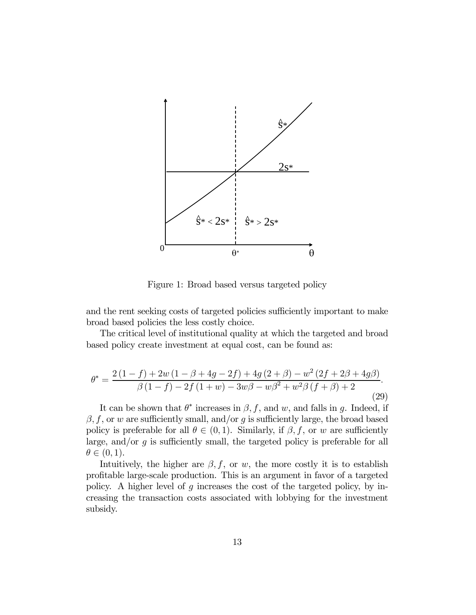

Figure 1: Broad based versus targeted policy

and the rent seeking costs of targeted policies sufficiently important to make broad based policies the less costly choice.

The critical level of institutional quality at which the targeted and broad based policy create investment at equal cost, can be found as:

$$
\theta^* = \frac{2(1-f) + 2w(1 - \beta + 4g - 2f) + 4g(2 + \beta) - w^2(2f + 2\beta + 4g\beta)}{\beta(1-f) - 2f(1+w) - 3w\beta - w\beta^2 + w^2\beta(f + \beta) + 2}.
$$
\n(29)

It can be shown that  $\theta^*$  increases in  $\beta$ , f, and w, and falls in g. Indeed, if  $\beta$ , f, or w are sufficiently small, and/or g is sufficiently large, the broad based policy is preferable for all  $\theta \in (0, 1)$ . Similarly, if  $\beta, f$ , or w are sufficiently large, and/or  $q$  is sufficiently small, the targeted policy is preferable for all  $\theta \in (0,1)$ .

Intuitively, the higher are  $\beta$ , f, or w, the more costly it is to establish profitable large-scale production. This is an argument in favor of a targeted policy. A higher level of  $g$  increases the cost of the targeted policy, by increasing the transaction costs associated with lobbying for the investment subsidy.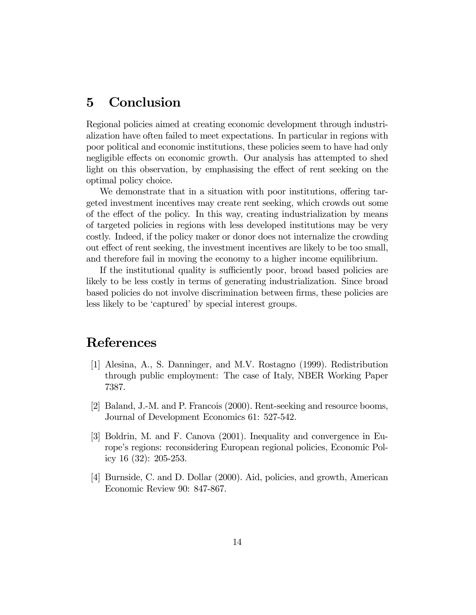# 5 Conclusion

Regional policies aimed at creating economic development through industrialization have often failed to meet expectations. In particular in regions with poor political and economic institutions, these policies seem to have had only negligible effects on economic growth. Our analysis has attempted to shed light on this observation, by emphasising the effect of rent seeking on the optimal policy choice.

We demonstrate that in a situation with poor institutions, offering targeted investment incentives may create rent seeking, which crowds out some of the effect of the policy. In this way, creating industrialization by means of targeted policies in regions with less developed institutions may be very costly. Indeed, if the policy maker or donor does not internalize the crowding out effect of rent seeking, the investment incentives are likely to be too small, and therefore fail in moving the economy to a higher income equilibrium.

If the institutional quality is sufficiently poor, broad based policies are likely to be less costly in terms of generating industrialization. Since broad based policies do not involve discrimination between firms, these policies are less likely to be 'captured' by special interest groups.

# References

- [1] Alesina, A., S. Danninger, and M.V. Rostagno (1999). Redistribution through public employment: The case of Italy, NBER Working Paper 7387.
- [2] Baland, J.-M. and P. Francois (2000). Rent-seeking and resource booms, Journal of Development Economics 61: 527-542.
- [3] Boldrin, M. and F. Canova (2001). Inequality and convergence in Europe's regions: reconsidering European regional policies, Economic Policy 16 (32): 205-253.
- [4] Burnside, C. and D. Dollar (2000). Aid, policies, and growth, American Economic Review 90: 847-867.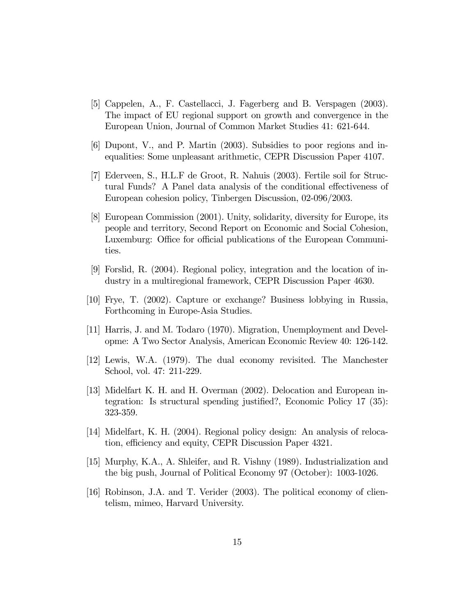- [5] Cappelen, A., F. Castellacci, J. Fagerberg and B. Verspagen (2003). The impact of EU regional support on growth and convergence in the European Union, Journal of Common Market Studies 41: 621-644.
- [6] Dupont, V., and P. Martin (2003). Subsidies to poor regions and inequalities: Some unpleasant arithmetic, CEPR Discussion Paper 4107.
- [7] Ederveen, S., H.L.F de Groot, R. Nahuis (2003). Fertile soil for Structural Funds? A Panel data analysis of the conditional effectiveness of European cohesion policy, Tinbergen Discussion, 02-096/2003.
- [8] European Commission (2001). Unity, solidarity, diversity for Europe, its people and territory, Second Report on Economic and Social Cohesion, Luxemburg: Office for official publications of the European Communities.
- [9] Forslid, R. (2004). Regional policy, integration and the location of industry in a multiregional framework, CEPR Discussion Paper 4630.
- [10] Frye, T. (2002). Capture or exchange? Business lobbying in Russia, Forthcoming in Europe-Asia Studies.
- [11] Harris, J. and M. Todaro (1970). Migration, Unemployment and Developme: A Two Sector Analysis, American Economic Review 40: 126-142.
- [12] Lewis, W.A. (1979). The dual economy revisited. The Manchester School, vol. 47: 211-229.
- [13] Midelfart K. H. and H. Overman (2002). Delocation and European integration: Is structural spending justified?, Economic Policy 17 (35): 323-359.
- [14] Midelfart, K. H. (2004). Regional policy design: An analysis of relocation, efficiency and equity, CEPR Discussion Paper 4321.
- [15] Murphy, K.A., A. Shleifer, and R. Vishny (1989). Industrialization and the big push, Journal of Political Economy 97 (October): 1003-1026.
- [16] Robinson, J.A. and T. Verider (2003). The political economy of clientelism, mimeo, Harvard University.